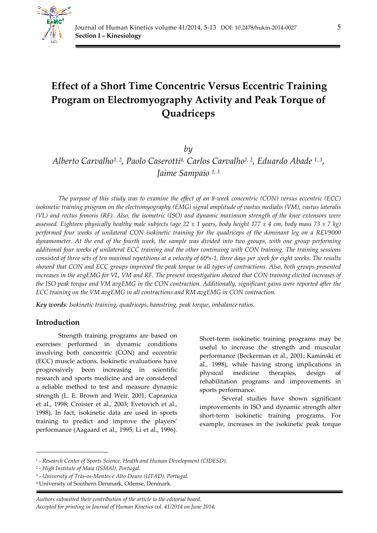

# **Effect of a Short Time Concentric Versus Eccentric Training Program on Electromyography Activity and Peak Torque of Quadriceps**

# *by*

*Alberto Carvalho1, 2, Paolo Caserotti4, Carlos Carvalho1, 2, Eduardo Abade 1, 3, Jaime Sampaio 1, 3*

*The purpose of this study was to examine the effect of an 8-week concentric (CON) versus eccentric (ECC) isokinetic training program on the electromyography (EMG) signal amplitude of vastus medialis (VM), vastus lateralis (VL) and rectus femoris (RF). Also, the isometric (ISO) and dynamic maximum strength of the knee extensors were assessed. Eighteen physically healthy male subjects (age 22*  $\pm$  *1 years, body height 177*  $\pm$  *4 cm, body mass 73*  $\pm$  *7 kg) performed four weeks of unilateral CON isokinetic training for the quadriceps of the dominant leg on a REV9000 dynamometer. At the end of the fourth week, the sample was divided into two groups, with one group performing additional four weeks of unilateral ECC training and the other continuing with CON training. The training sessions consisted of three sets of ten maximal repetitions at a velocity of 60ºs-1, three days per week for eight weeks. The results showed that CON and ECC groups improved the peak torque in all types of contractions. Also, both groups presented increases in the avgEMG for VL, VM and RF. The present investigation showed that CON training elicited increases of the ISO peak torque and VM avgEMG in the CON contraction. Additionally, significant gains were reported after the ECC training on the VM avgEMG in all contractions and RM avgEMG in CON contraction.* 

*Key words: Isokinetic training, quadriceps, hamstring, peak torque, imbalance ratios.* 

## **Introduction**

*.* 

Strength training programs are based on exercises performed in dynamic conditions involving both concentric (CON) and eccentric (ECC) muscle actions. Isokinetic evaluations have progressively been increasing in scientific research and sports medicine and are considered a reliable method to test and measure dynamic strength (L. E. Brown and Weir, 2001; Capranica et al., 1998; Croisier et al., 2003; Evetovich et al., 1998). In fact, isokinetic data are used in sports training to predict and improve the players' performance (Aagaard et al., 1995; Li et al., 1996).

Short-term isokinetic training programs may be useful to increase the strength and muscular performance (Beckerman et al., 2001; Kaminski et al., 1998), while having strong implications in physical medicine therapies, design of rehabilitation programs and improvements in sports performance.

Several studies have shown significant improvements in ISO and dynamic strength after short-term isokinetic training programs. For example, increases in the isokinetic peak torque

<sup>1 -</sup> *Research Center of Sports Science, Health and Human Development (CIDESD).* 

<sup>2 -</sup> *High Institute of Maia (ISMAI), Portugal.* 

<sup>3 -</sup> *University of Trás-os-Montes e Alto Douro (UTAD), Portugal.* 

<sup>4</sup> University of Southern Denmark, Odense, Denmark*.*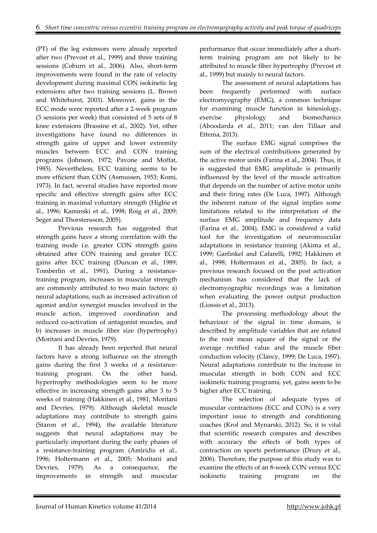(PT) of the leg extensors were already reported after two (Prevost et al., 1999) and three training sessions (Coburn et al., 2006). Also, short-term improvements were found in the rate of velocity development during maximal CON isokinetic leg extensions after two training sessions (L. Brown and Whitehurst, 2003). Moreover, gains in the ECC mode were reported after a 2-week program (3 sessions per week) that consisted of 5 sets of 8 knee extensions (Brassine et al., 2002). Yet, other investigations have found no differences in strength gains of upper and lower extremity muscles between ECC and CON training programs (Johnson, 1972; Pavone and Moffat, 1985). Nevertheless, ECC training seems to be more efficient than CON (Asmussen, 1953; Komi, 1973). In fact, several studies have reported more specific and effective strength gains after ECC training in maximal voluntary strength (Higbie et al., 1996; Kaminski et al., 1998; Roig et al., 2009; Seger and Thorstensson, 2005).

Previous research has suggested that strength gains have a strong correlation with the training mode i.e. greater CON strength gains obtained after CON training and greater ECC gains after ECC training (Duncan et al., 1989; Tomberlin et al., 1991). During a resistancetraining program, increases in muscular strength are commonly attributed to two main factors: a) neural adaptations, such as increased activation of agonist and/or synergist muscles involved in the muscle action, improved coordination and reduced co-activation of antagonist muscles, and b) increases in muscle fiber size (hypertrophy) (Moritani and Devries, 1979).

It has already been reported that neural factors have a strong influence on the strength gains during the first 3 weeks of a resistancetraining program. On the other hand, hypertrophy methodologies seem to be more effective in increasing strength gains after 3 to 5 weeks of training (Hakkinen et al., 1981; Moritani and Devries, 1979). Although skeletal muscle adaptations may contribute to strength gains (Staron et al., 1994), the available literature suggests that neural adaptations may be particularly important during the early phases of a resistance-training program (Amiridis et al., 1996; Holtermann et al., 2005; Moritani and Devries, 1979). As a consequence, the improvements in strength and muscular

performance that occur immediately after a shortterm training program are not likely to be attributed to muscle fiber hypertrophy (Prevost et al., 1999) but mainly to neural factors.

The assessment of neural adaptations has been frequently performed with surface electromyography (EMG), a common technique for examining muscle function in kinesiology, exercise physiology and biomechanics (Aboodarda et al., 2011; van den Tillaar and Ettema, 2013).

The surface EMG signal comprises the sum of the electrical contributions generated by the active motor units (Farina et al., 2004). Thus, it is suggested that EMG amplitude is primarily influenced by the level of the muscle activation that depends on the number of active motor units and their firing rates (De Luca, 1997). Although the inherent nature of the signal implies some limitations related to the interpretation of the surface EMG amplitude and frequency data (Farina et al., 2004), EMG is considered a valid tool for the investigation of neuromuscular adaptations in resistance training (Akima et al., 1999; Garfinkel and Cafarelli, 1992; Hakkinen et al., 1998; Holtermann et al., 2005). In fact, a previous research focused on the post activation mechanism has considered that the lack of electromyographic recordings was a limitation when evaluating the power output production (Liossis et al., 2013).

The processing methodology about the behaviour of the signal in time domain, is described by amplitude variables that are related to the root mean square of the signal or the average rectified value and the muscle fiber conduction velocity (Clancy, 1999; De Luca, 1997). Neural adaptations contribute to the increase in muscular strength in both CON and ECC isokinetic training programs, yet, gains seem to be higher after ECC training.

The selection of adequate types of muscular contractions (ECC and CON) is a very important issue to strength and conditioning coaches (Krol and Mynarski, 2012). So, it is vital that scientific research compares and describes with accuracy the effects of both types of contraction on sports performance (Drury et al., 2006). Therefore, the purpose of this study was to examine the effects of an 8-week CON versus ECC isokinetic training program on the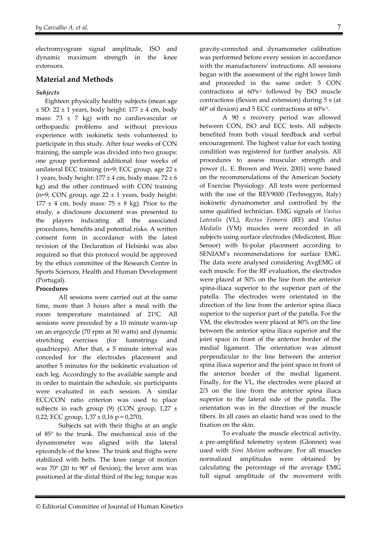electromyogram signal amplitude, ISO and dynamic maximum strength in the knee extensors.

# **Material and Methods**

#### *Subjects*

Eighteen physically healthy subjects (mean age  $\pm$  SD: 22  $\pm$  1 years, body height: 177  $\pm$  4 cm, body mass: 73  $\pm$  7 kg) with no cardiovascular or orthopaedic problems and without previous experience with isokinetic tests volunteered to participate in this study. After four weeks of CON training, the sample was divided into two groups: one group performed additional four weeks of unilateral ECC training (n=9; ECC group, age 22 ± 1 years, body height:  $177 \pm 4$  cm, body mass:  $72 \pm 6$ kg) and the other continued with CON training (n=9; CON group, age  $22 \pm 1$  years, body height:  $177 \pm 4$  cm, body mass:  $75 \pm 8$  kg). Prior to the study, a disclosure document was presented to the players indicating all the associated procedures, benefits and potential risks. A written consent form in accordance with the latest revision of the Declaration of Helsinki was also required so that this protocol would be approved by the ethics committee of the Research Centre in Sports Sciences, Health and Human Development (Portugal).

## **Procedures**

All sessions were carried out at the same time, more than 3 hours after a meal with the room temperature maintained at 21ºC. All sessions were preceded by a 10 minute warm-up on an ergocycle (70 rpm at 50 watts) and dynamic stretching exercises (for hamstrings and quadriceps). After that, a 5 minute interval was conceded for the electrodes placement and another 5 minutes for the isokinetic evaluation of each leg. Accordingly to the available sample and in order to maintain the schedule, six participants were evaluated in each session. A similar ECC/CON ratio criterion was used to place subjects in each group (9) (CON group,  $1,27 \pm 1$ 0,22; ECC group,  $1,37 \pm 0,16$  p = 0,270).

Subjects sat with their thighs at an angle of 85*º* to the trunk. The mechanical axis of the dynamometer was aligned with the lateral epicondyle of the knee. The trunk and thighs were stabilized with belts. The knee range of motion was 70º (20 to 90º of flexion); the lever arm was positioned at the distal third of the leg; torque was

gravity-corrected and dynamometer calibration was performed before every session in accordance with the manufacturers' instructions. All sessions began with the assessment of the right lower limb and proceeded in the same order: 5 CON contractions at 60ºs-1 followed by ISO muscle contractions (flexion and extension) during 5 s (at  $60^{\circ}$  of flexion) and 5 ECC contractions at  $60^{\circ}$ s<sup>-1</sup>.

A 90 s recovery period was allowed between CON, ISO and ECC tests. All subjects benefited from both visual feedback and verbal encouragement. The highest value for each testing condition was registered for further analysis. All procedures to assess muscular strength and power (L. E. Brown and Weir, 2001) were based on the recommendations of the American Society of Exercise Physiology. All tests were performed with the use of the REV9000 (Technogym, Italy) isokinetic dynamometer and controlled by the same qualified technician. EMG signals of *Vastus Lateralis* (VL), *Rectus Femoris* (RF) and *Vastus Medialis* (VM) muscles were recorded in all subjects using surface electrodes (Medicotest, Blue Sensor) with bi-polar placement according to SENIAM's recommendations for surface EMG. The data were analysed considering AvgEMG of each muscle. For the RF evaluation, the electrodes were placed at 50% on the line from the anterior spina-iliaca superior to the superior part of the patella. The electrodes were orientated in the direction of the line from the anterior spina iliaca superior to the superior part of the patella. For the VM, the electrodes were placed at 80% on the line between the anterior spina iliaca superior and the joint space in front of the anterior border of the medial ligament. The orientation was almost perpendicular to the line between the anterior spina iliaca superior and the joint space in front of the anterior border of the medial ligament. Finally, for the VL, the electrodes were placed at 2/3 on the line from the anterior spina iliaca superior to the lateral side of the patella. The orientation was in the direction of the muscle fibers. In all cases an elastic band was used to the fixation on the skin.

To evaluate the muscle electrical activity, a pre-amplified telemetry system (Glonner) was used with *Simi Motion* software. For all muscles normalized amplitudes were obtained by calculating the percentage of the average EMG full signal amplitude of the movement with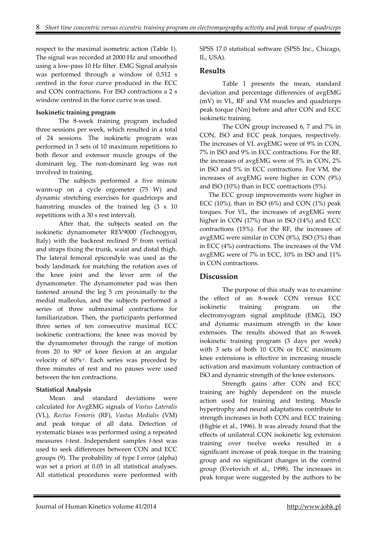respect to the maximal isometric action (Table 1). The signal was recorded at 2000 Hz and smoothed using a low-pass 10 Hz filter. EMG Signal analysis was performed through a window of 0,512 s centred in the force curve produced in the ECC and CON contractions. For ISO contractions a 2 s window centred in the force curve was used.

## **Isokinetic training program**

The 8-week training program included three sessions per week, which resulted in a total of 24 sessions. The isokinetic program was performed in 3 sets of 10 maximum repetitions to both flexor and extensor muscle groups of the dominant leg. The non-dominant leg was not involved in training.

The subjects performed a five minute warm-up on a cycle ergometer (75 W) and dynamic stretching exercises for quadriceps and hamstring muscles of the trained leg (3 x 10 repetitions with a 30 s rest interval).

After that, the subjects seated on the isokinetic dynamometer REV9000 (Technogym, Italy) with the backrest reclined  $5^{\circ}$  from vertical and straps fixing the trunk, waist and distal thigh. The lateral femoral epicondyle was used as the body landmark for matching the rotation axes of the knee joint and the lever arm of the dynamometer. The dynamometer pad was then fastened around the leg 5 cm proximally to the medial malleolus, and the subjects performed a series of three submaximal contractions for familiarization. Then, the participants performed three series of ten consecutive maximal ECC isokinetic contractions; the knee was moved by the dynamometer through the range of motion from 20 to 90º of knee flexion at an angular velocity of  $60^{\circ}$ s<sup>-1</sup>. Each series was preceded by three minutes of rest and no pauses were used between the ten contractions.

# **Statistical Analysis**

Mean and standard deviations were calculated for AvgEMG signals of *Vastus Lateralis* (VL), *Rectus Femoris* (RF), *Vastus Medialis* (VM) and peak torque of all data. Detection of systematic biases was performed using a repeated measures *t*-test. Independent samples *t*-test was used to seek differences between CON and ECC groups (9). The probability of type I error (alpha) was set a priori at 0.05 in all statistical analyses. All statistical procedures were performed with

SPSS 17.0 statistical software (SPSS Inc., Chicago, IL, USA).

# **Results**

Table 1 presents the mean, standard deviation and percentage differences of avgEMG (mV) in VL, RF and VM muscles and quadriceps peak torque (Nm) before and after CON and ECC isokinetic training.

The CON group increased 6, 7 and 7% in CON, ISO and ECC peak torques, respectively. The increases of VL avgEMG were of 9% in CON, 7% in ISO and 9% in ECC contractions. For the RF, the increases of avgEMG were of 5% in CON, 2% in ISO and 5% in ECC contractions. For VM, the increases of avgEMG were higher in CON (9%) and ISO (10%) than in ECC contractions (5%).

The ECC group improvements were higher in ECC (10%), than in ISO (6%) and CON (1%) peak torques. For VL, the increases of avgEMG were higher in CON (17%) than in ISO (14%) and ECC contractions (15%). For the RF, the increases of avgEMG were similar in CON (8%), ISO (3%) than in ECC (4%) contractions. The increases of the VM avgEMG were of 7% in ECC, 10% in ISO and 11% in CON contractions.

# **Discussion**

The purpose of this study was to examine the effect of an 8-week CON versus ECC isokinetic training program on the electromyogram signal amplitude (EMG), ISO and dynamic maximum strength in the knee extensors. The results showed that an 8-week isokinetic training program (3 days per week) with 3 sets of both 10 CON or ECC maximum knee extensions is effective in increasing muscle activation and maximum voluntary contraction of ISO and dynamic strength of the knee extensors.

Strength gains after CON and ECC training are highly dependent on the muscle action used for training and testing. Muscle hypertrophy and neural adaptations contribute to strength increases in both CON and ECC training (Higbie et al., 1996). It was already found that the effects of unilateral CON isokinetic leg extension training over twelve weeks resulted in a significant increase of peak torque in the training group and no significant changes in the control group (Evetovich et al., 1998). The increases in peak torque were suggested by the authors to be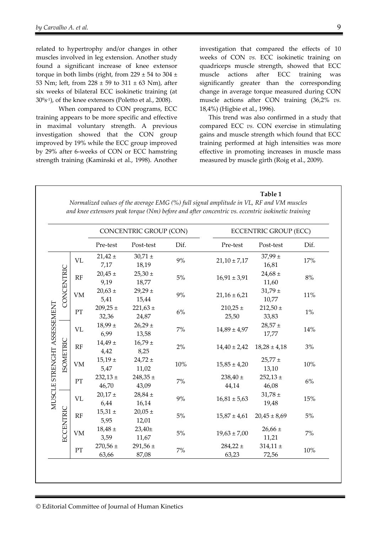related to hypertrophy and/or changes in other muscles involved in leg extension. Another study found a significant increase of knee extensor torque in both limbs (right, from  $229 \pm 54$  to  $304 \pm$ 53 Nm; left, from  $228 \pm 59$  to  $311 \pm 63$  Nm), after six weeks of bilateral ECC isokinetic training (at 30ºs-1), of the knee extensors (Poletto et al., 2008).

When compared to CON programs, ECC training appears to be more specific and effective in maximal voluntary strength. A previous investigation showed that the CON group improved by 19% while the ECC group improved by 29% after 6-weeks of CON or ECC hamstring strength training (Kaminski et al., 1998). Another investigation that compared the effects of 10 weeks of CON *vs.* ECC isokinetic training on quadriceps muscle strength, showed that ECC muscle actions after ECC training was significantly greater than the corresponding change in average torque measured during CON muscle actions after CON training (36,2% *vs.* 18,4%) (Higbie et al., 1996).

This trend was also confirmed in a study that compared ECC *vs.* CON exercise in stimulating gains and muscle strength which found that ECC training performed at high intensities was more effective in promoting increases in muscle mass measured by muscle girth (Roig et al., 2009).

|                                                                            |                          | CONCENTRIC GROUP (CON) |                       |        | <b>ECCENTRIC GROUP (ECC)</b> |                       |        |
|----------------------------------------------------------------------------|--------------------------|------------------------|-----------------------|--------|------------------------------|-----------------------|--------|
|                                                                            |                          | Pre-test               | Post-test             | Dif.   | Pre-test                     | Post-test             | Dif.   |
| CONCENTRIC<br>MUSCLE STRENGHT ASSESSEMENT<br><b>ISOMETRIC</b><br>ECCENTRIC | <b>VL</b>                | $21,42 \pm$<br>7,17    | $30,71 \pm$<br>18,19  | 9%     | $21,10 \pm 7,17$             | $37,99 \pm$<br>16,81  | 17%    |
|                                                                            | RF                       | $20,45 \pm$<br>9,19    | $25,30 \pm$<br>18,77  | $5\%$  | $16,91 \pm 3,91$             | $24,68 \pm$<br>11,60  | $8\%$  |
|                                                                            | <b>VM</b>                | $20,63 \pm$<br>5,41    | $29,29 \pm$<br>15,44  | 9%     | $21,16 \pm 6,21$             | $31,79 \pm$<br>10,77  | 11%    |
|                                                                            | PT                       | $209,25 \pm$<br>32,36  | $221,63 \pm$<br>24,87 | 6%     | $210,25 \pm$<br>25,50        | $212,50 \pm$<br>33,83 | $1\%$  |
|                                                                            | <b>VL</b>                | $18,99 \pm$<br>6,99    | $26,29 \pm$<br>13,58  | 7%     | $14,89 \pm 4,97$             | $28,57 \pm$<br>17,77  | 14%    |
|                                                                            | RF                       | $14,49 \pm$<br>4,42    | $16,79 \pm$<br>8,25   | 2%     | $14,40 \pm 2,42$             | $18,28 \pm 4,18$      | $3\%$  |
|                                                                            | <b>VM</b>                | $15,19 \pm$<br>5,47    | $24,72 \pm$<br>11,02  | $10\%$ | $15,85 \pm 4,20$             | $25,77 \pm$<br>13,10  | $10%$  |
|                                                                            | PT                       | $232,13 \pm$<br>46,70  | $248,35 \pm$<br>43,09 | 7%     | $238,40 \pm$<br>44,14        | $252,13 \pm$<br>46,08 | $6\%$  |
|                                                                            | <b>VL</b>                | $20,17 \pm$<br>6,44    | $28,84 \pm$<br>16,14  | 9%     | $16,81 \pm 5,63$             | $31,78 \pm$<br>19,48  | 15%    |
|                                                                            | RF                       | $15,31 \pm$<br>5,95    | $20,05 \pm$<br>12,01  | $5\%$  | $15,87 \pm 4,61$             | $20,45 \pm 8,69$      | $5\%$  |
|                                                                            | <b>VM</b>                | $18,48 \pm$<br>3,59    | $23,40 \pm$<br>11,67  | $5\%$  | $19,63 \pm 7,00$             | $26,66 \pm$<br>11,21  | $7\%$  |
|                                                                            | $\mathcal{P}\mathcal{T}$ | $270,56 \pm$<br>63,66  | $291,56 \pm$<br>87,08 | 7%     | $284,22 \pm$<br>63,23        | $314,11 \pm$<br>72,56 | $10\%$ |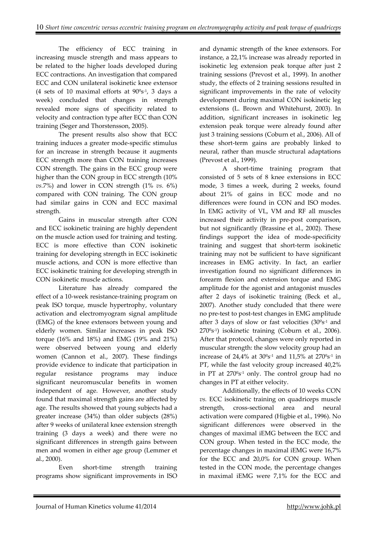The efficiency of ECC training in increasing muscle strength and mass appears to be related to the higher loads developed during ECC contractions. An investigation that compared ECC and CON unilateral isokinetic knee extensor (4 sets of 10 maximal efforts at  $90^{\circ}$ s<sup>-1</sup>, 3 days a week) concluded that changes in strength revealed more signs of specificity related to velocity and contraction type after ECC than CON training (Seger and Thorstensson, 2005).

The present results also show that ECC training induces a greater mode-specific stimulus for an increase in strength because it augments ECC strength more than CON training increases CON strength. The gains in the ECC group were higher than the CON group in ECC strength (10% *vs.*7%) and lower in CON strength (1% *vs.* 6%) compared with CON training. The CON group had similar gains in CON and ECC maximal strength.

Gains in muscular strength after CON and ECC isokinetic training are highly dependent on the muscle action used for training and testing. ECC is more effective than CON isokinetic training for developing strength in ECC isokinetic muscle actions, and CON is more effective than ECC isokinetic training for developing strength in CON isokinetic muscle actions.

Literature has already compared the effect of a 10-week resistance-training program on peak ISO torque, muscle hypertrophy, voluntary activation and electromyogram signal amplitude (EMG) of the knee extensors between young and elderly women. Similar increases in peak ISO torque (16% and 18%) and EMG (19% and 21%) were observed between young and elderly women (Cannon et al., 2007). These findings provide evidence to indicate that participation in regular resistance programs may induce significant neuromuscular benefits in women independent of age. However, another study found that maximal strength gains are affected by age. The results showed that young subjects had a greater increase (34%) than older subjects (28%) after 9 weeks of unilateral knee extension strength training (3 days a week) and there were no significant differences in strength gains between men and women in either age group (Lemmer et al., 2000).

Even short-time strength training programs show significant improvements in ISO and dynamic strength of the knee extensors. For instance, a 22,1% increase was already reported in isokinetic leg extension peak torque after just 2 training sessions (Prevost et al., 1999). In another study, the effects of 2 training sessions resulted in significant improvements in the rate of velocity development during maximal CON isokinetic leg extensions (L. Brown and Whitehurst, 2003). In addition, significant increases in isokinetic leg extension peak torque were already found after just 3 training sessions (Coburn et al., 2006). All of these short-term gains are probably linked to neural, rather than muscle structural adaptations (Prevost et al., 1999).

A short-time training program that consisted of 5 sets of 8 knee extensions in ECC mode, 3 times a week, during 2 weeks, found about 21% of gains in ECC mode and no differences were found in CON and ISO modes. In EMG activity of VL, VM and RF all muscles increased their activity in pre-post comparison, but not significantly (Brassine et al., 2002). These findings support the idea of mode-specificity training and suggest that short-term isokinetic training may not be sufficient to have significant increases in EMG activity. In fact, an earlier investigation found no significant differences in forearm flexion and extension torque and EMG amplitude for the agonist and antagonist muscles after 2 days of isokinetic training (Beck et al., 2007). Another study concluded that there were no pre-test to post-test changes in EMG amplitude after 3 days of slow or fast velocities (30ºs-1 and  $270^{\circ}$ s<sup>-1</sup>) isokinetic training (Coburn et al., 2006). After that protocol, changes were only reported in muscular strength: the slow velocity group had an increase of 24,4% at  $30^{\circ}$ s<sup>-1</sup> and 11,5% at 270°s<sup>-1</sup> in PT, while the fast velocity group increased 40,2% in PT at  $270^{\circ}$ s<sup>-1</sup> only. The control group had no changes in PT at either velocity.

Additionally, the effects of 10 weeks CON *vs.* ECC isokinetic training on quadriceps muscle strength, cross-sectional area and neural activation were compared (Higbie et al., 1996). No significant differences were observed in the changes of maximal iEMG between the ECC and CON group. When tested in the ECC mode, the percentage changes in maximal iEMG were 16,7% for the ECC and 20,0% for CON group. When tested in the CON mode, the percentage changes in maximal iEMG were 7,1% for the ECC and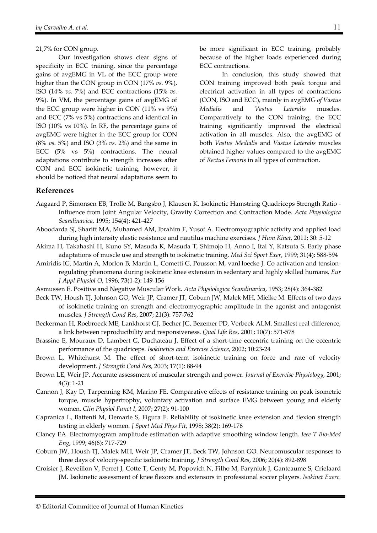#### 21,7% for CON group.

Our investigation shows clear signs of specificity in ECC training, since the percentage gains of avgEMG in VL of the ECC group were higher than the CON group in CON (17% *vs.* 9%), ISO (14% *vs.* 7%) and ECC contractions (15% *vs.* 9%). In VM, the percentage gains of avgEMG of the ECC group were higher in CON (11% vs 9%) and ECC (7% vs 5%) contractions and identical in ISO (10% vs 10%). In RF, the percentage gains of avgEMG were higher in the ECC group for CON (8% *vs.* 5%) and ISO (3% *vs.* 2%) and the same in ECC (5% vs 5%) contractions. The neural adaptations contribute to strength increases after CON and ECC isokinetic training, however, it should be noticed that neural adaptations seem to

be more significant in ECC training, probably because of the higher loads experienced during ECC contractions.

In conclusion, this study showed that CON training improved both peak torque and electrical activation in all types of contractions (CON, ISO and ECC), mainly in avgEMG *of Vastus Medialis* and *Vastus Lateralis* muscles. Comparatively to the CON training, the ECC training significantly improved the electrical activation in all muscles. Also, the avgEMG of both *Vastus Medialis* and *Vastus Lateralis* muscles obtained higher values compared to the avgEMG of *Rectus Femoris* in all types of contraction.

## **References**

- Aagaard P, Simonsen EB, Trolle M, Bangsbo J, Klausen K. Isokinetic Hamstring Quadriceps Strength Ratio Influence from Joint Angular Velocity, Gravity Correction and Contraction Mode*. Acta Physiologica Scandinavica*, 1995; 154(4): 421-427
- Aboodarda SJ, Shariff MA, Muhamed AM, Ibrahim F, Yusof A. Electromyographic activity and applied load during high intensity elastic resistance and nautilus machine exercises*. J Hum Kinet*, 2011; 30: 5-12
- Akima H, Takahashi H, Kuno SY, Masuda K, Masuda T, Shimojo H, Anno I, Itai Y, Katsuta S. Early phase adaptations of muscle use and strength to isokinetic training*. Med Sci Sport Exer*, 1999; 31(4): 588-594
- Amiridis IG, Martin A, Morlon B, Martin L, Cometti G, Pousson M, vanHoecke J. Co activation and tensionregulating phenomena during isokinetic knee extension in sedentary and highly skilled humans*. Eur J Appl Physiol O*, 1996; 73(1-2): 149-156
- Asmussen E. Positive and Negative Muscular Work*. Acta Physiologica Scandinavica*, 1953; 28(4): 364-382
- Beck TW, Housh TJ, Johnson GO, Weir JP, Cramer JT, Coburn JW, Malek MH, Mielke M. Effects of two days of isokinetic training on strength and electromyographic amplitude in the agonist and antagonist muscles*. J Strength Cond Res*, 2007; 21(3): 757-762
- Beckerman H, Roebroeck ME, Lankhorst GJ, Becher JG, Bezemer PD, Verbeek ALM. Smallest real difference, a link between reproducibility and responsiveness*. Qual Life Res*, 2001; 10(7): 571-578
- Brassine E, Mouraux D, Lambert G, Duchateau J. Effect of a short-time eccentric training on the eccentric performance of the quadriceps*. Isokinetics and Exercise Science*, 2002; 10:23-24
- Brown L, Whitehurst M. The effect of short-term isokinetic training on force and rate of velocity development*. J Strength Cond Res*, 2003; 17(1): 88-94
- Brown LE, Weir JP. Accurate assessment of muscular strength and power*. Journal of Exercise Physiology*, 2001; 4(3): 1-21
- Cannon J, Kay D, Tarpenning KM, Marino FE. Comparative effects of resistance training on peak isometric torque, muscle hypertrophy, voluntary activation and surface EMG between young and elderly women*. Clin Physiol Funct I*, 2007; 27(2): 91-100
- Capranica L, Battenti M, Demarie S, Figura F. Reliability of isokinetic knee extension and flexion strength testing in elderly women*. J Sport Med Phys Fit*, 1998; 38(2): 169-176
- Clancy EA. Electromyogram amplitude estimation with adaptive smoothing window length*. Ieee T Bio-Med Eng*, 1999; 46(6): 717-729
- Coburn JW, Housh TJ, Malek MH, Weir JP, Cramer JT, Beck TW, Johnson GO. Neuromuscular responses to three days of velocity-specific isokinetic training*. J Strength Cond Res*, 2006; 20(4): 892-898
- Croisier J, Reveillon V, Ferret J, Cotte T, Genty M, Popovich N, Filho M, Faryniuk J, Ganteaume S, Crielaard JM. Isokinetic assessment of knee flexors and extensors in professional soccer players*. Isokinet Exerc.*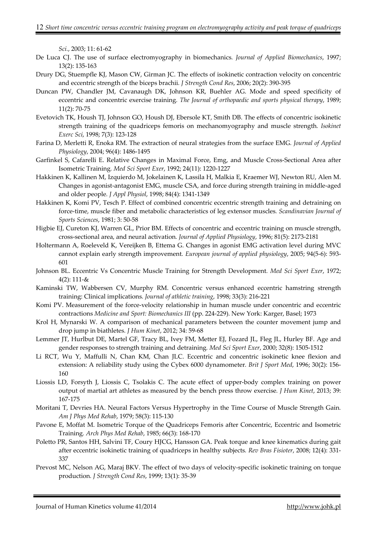*Sci.*, 2003; 11: 61-62

- De Luca CJ. The use of surface electromyography in biomechanics*. Journal of Applied Biomechanics*, 1997; 13(2): 135-163
- Drury DG, Stuempfle KJ, Mason CW, Girman JC. The effects of isokinetic contraction velocity on concentric and eccentric strength of the biceps brachii*. J Strength Cond Res*, 2006; 20(2): 390-395
- Duncan PW, Chandler JM, Cavanaugh DK, Johnson KR, Buehler AG. Mode and speed specificity of eccentric and concentric exercise training*. The Journal of orthopaedic and sports physical therapy*, 1989; 11(2): 70-75
- Evetovich TK, Housh TJ, Johnson GO, Housh DJ, Ebersole KT, Smith DB. The effects of concentric isokinetic strength training of the quadriceps femoris on mechanomyography and muscle strength*. Isokinet Exerc Sci*, 1998; 7(3): 123-128
- Farina D, Merletti R, Enoka RM. The extraction of neural strategies from the surface EMG*. Journal of Applied Physiology*, 2004; 96(4): 1486-1495
- Garfinkel S, Cafarelli E. Relative Changes in Maximal Force, Emg, and Muscle Cross-Sectional Area after Isometric Training*. Med Sci Sport Exer*, 1992; 24(11): 1220-1227
- Hakkinen K, Kallinen M, Izquierdo M, Jokelainen K, Lassila H, Malkia E, Kraemer WJ, Newton RU, Alen M. Changes in agonist-antagonist EMG, muscle CSA, and force during strength training in middle-aged and older people*. J Appl Physiol*, 1998; 84(4): 1341-1349
- Hakkinen K, Komi PV, Tesch P. Effect of combined concentric eccentric strength training and detraining on force-time, muscle fiber and metabolic characteristics of leg extensor muscles*. Scandinavian Journal of Sports Sciences*, 1981; 3: 50-58
- Higbie EJ, Cureton KJ, Warren GL, Prior BM. Effects of concentric and eccentric training on muscle strength, cross-sectional area, and neural activation*. Journal of Applied Physiology*, 1996; 81(5): 2173-2181
- Holtermann A, Roeleveld K, Vereijken B, Ettema G. Changes in agonist EMG activation level during MVC cannot explain early strength improvement*. European journal of applied physiology*, 2005; 94(5-6): 593- 601
- Johnson BL. Eccentric Vs Concentric Muscle Training for Strength Development*. Med Sci Sport Exer*, 1972; 4(2): 111-&
- Kaminski TW, Wabbersen CV, Murphy RM. Concentric versus enhanced eccentric hamstring strength training: Clinical implications*. Journal of athletic training*, 1998; 33(3): 216-221
- Komi PV. Measurement of the force-velocity relationship in human muscle under concentric and eccentric contractions *Medicine and Sport: Biomechanics III* (pp. 224-229). New York: Karger, Basel; 1973
- Krol H, Mynarski W. A comparison of mechanical parameters between the counter movement jump and drop jump in biathletes*. J Hum Kinet*, 2012; 34: 59-68
- Lemmer JT, Hurlbut DE, Martel GF, Tracy BL, Ivey FM, Metter EJ, Fozard JL, Fleg JL, Hurley BF. Age and gender responses to strength training and detraining*. Med Sci Sport Exer*, 2000; 32(8): 1505-1512
- Li RCT, Wu Y, Maffulli N, Chan KM, Chan JLC. Eccentric and concentric isokinetic knee flexion and extension: A reliability study using the Cybex 6000 dynamometer*. Brit J Sport Med*, 1996; 30(2): 156- 160
- Liossis LD, Forsyth J, Liossis C, Tsolakis C. The acute effect of upper-body complex training on power output of martial art athletes as measured by the bench press throw exercise*. J Hum Kinet*, 2013; 39: 167-175
- Moritani T, Devries HA. Neural Factors Versus Hypertrophy in the Time Course of Muscle Strength Gain*. Am J Phys Med Rehab*, 1979; 58(3): 115-130
- Pavone E, Moffat M. Isometric Torque of the Quadriceps Femoris after Concentric, Eccentric and Isometric Training*. Arch Phys Med Rehab*, 1985; 66(3): 168-170
- Poletto PR, Santos HH, Salvini TF, Coury HJCG, Hansson GA. Peak torque and knee kinematics during gait after eccentric isokinetic training of quadriceps in healthy subjects*. Rev Bras Fisioter*, 2008; 12(4): 331- 337
- Prevost MC, Nelson AG, Maraj BKV. The effect of two days of velocity-specific isokinetic training on torque production*. J Strength Cond Res*, 1999; 13(1): 35-39